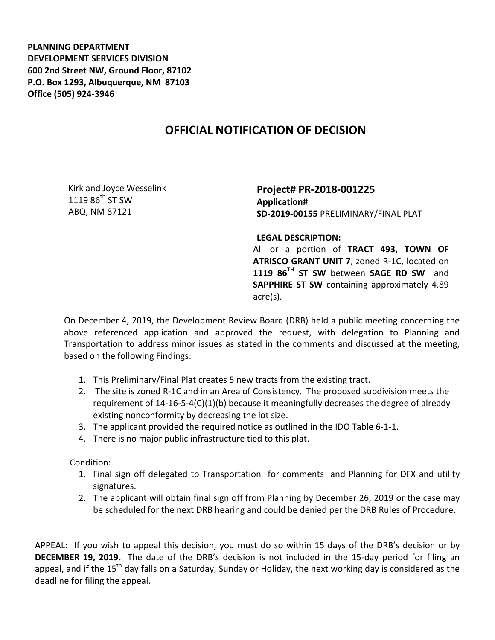**PLANNING DEPARTMENT DEVELOPMENT SERVICES DIVISION 600 2nd Street NW, Ground Floor, 87102 P.O. Box 1293, Albuquerque, NM 87103 Office (505) 924-3946** 

## **OFFICIAL NOTIFICATION OF DECISION**

Kirk and Joyce Wesselink  $1119.86^{\text{th}}$  ST SW ABQ, NM 87121

**Project# PR-2018-001225 Application# SD-2019-00155** PRELIMINARY/FINAL PLAT

**LEGAL DESCRIPTION:**

All or a portion of **TRACT 493, TOWN OF ATRISCO GRANT UNIT 7**, zoned R-1C, located on **1119 86TH ST SW** between **SAGE RD SW** and **SAPPHIRE ST SW** containing approximately 4.89 acre(s).

On December 4, 2019, the Development Review Board (DRB) held a public meeting concerning the above referenced application and approved the request, with delegation to Planning and Transportation to address minor issues as stated in the comments and discussed at the meeting, based on the following Findings:

- 1. This Preliminary/Final Plat creates 5 new tracts from the existing tract.
- 2. The site is zoned R-1C and in an Area of Consistency. The proposed subdivision meets the requirement of 14-16-5-4(C)(1)(b) because it meaningfully decreases the degree of already existing nonconformity by decreasing the lot size.
- 3. The applicant provided the required notice as outlined in the IDO Table 6-1-1.
- 4. There is no major public infrastructure tied to this plat.

Condition:

- 1. Final sign off delegated to Transportation for comments and Planning for DFX and utility signatures.
- 2. The applicant will obtain final sign off from Planning by December 26, 2019 or the case may be scheduled for the next DRB hearing and could be denied per the DRB Rules of Procedure.

APPEAL: If you wish to appeal this decision, you must do so within 15 days of the DRB's decision or by **DECEMBER 19, 2019.** The date of the DRB's decision is not included in the 15-day period for filing an appeal, and if the  $15<sup>th</sup>$  day falls on a Saturday, Sunday or Holiday, the next working day is considered as the deadline for filing the appeal.